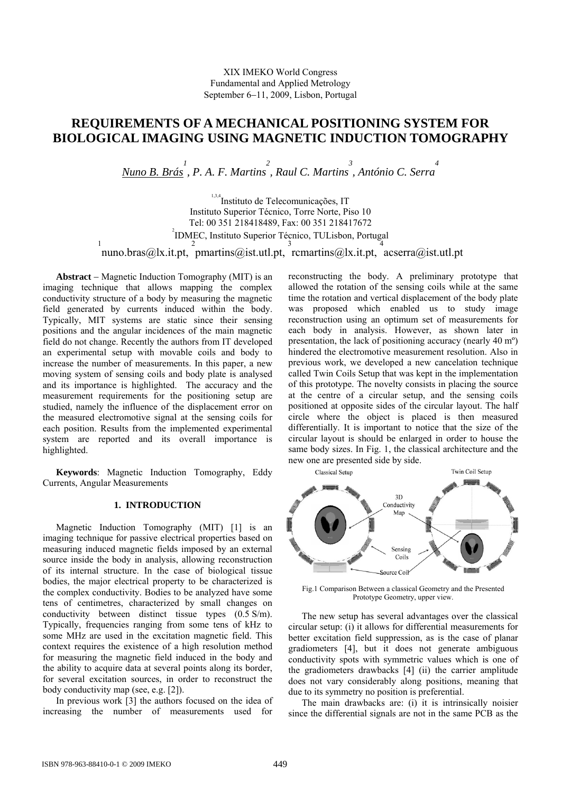# XIX IMEKO World Congress Fundamental and Applied Metrology September 6−11, 2009, Lisbon, Portugal

# **REQUIREMENTS OF A MECHANICAL POSITIONING SYSTEM FOR BIOLOGICAL IMAGING USING MAGNETIC INDUCTION TOMOGRAPHY**

*Nuno B. Brás 1 , P. A. F. Martins 2 , Raul C. Martins 3 , António C. Serra 4* 

1,3,4 Instituto de Telecomunicações, IT Instituto Superior Técnico, Torre Norte, Piso 10 Tel: 00 351 218418489, Fax: 00 351 218417672 2 <sup>2</sup>IDMEC, Instituto Superior Técnico, TULisbon, Portugal 1<br>nuno.bras@lx.it.pt,  $\frac{2}{3}$  pmartins@ist.utl.pt,  $\frac{3}{4}$  rcmartins@lx.it.pt,  $\frac{4}{4}$  acserra@ist.utl.pt

**Abstract** − Magnetic Induction Tomography (MIT) is an imaging technique that allows mapping the complex conductivity structure of a body by measuring the magnetic field generated by currents induced within the body. Typically, MIT systems are static since their sensing positions and the angular incidences of the main magnetic field do not change. Recently the authors from IT developed an experimental setup with movable coils and body to increase the number of measurements. In this paper, a new moving system of sensing coils and body plate is analysed and its importance is highlighted. The accuracy and the measurement requirements for the positioning setup are studied, namely the influence of the displacement error on the measured electromotive signal at the sensing coils for each position. Results from the implemented experimental system are reported and its overall importance is highlighted.

**Keywords**: Magnetic Induction Tomography, Eddy Currents, Angular Measurements

# **1. INTRODUCTION**

Magnetic Induction Tomography (MIT) [1] is an imaging technique for passive electrical properties based on measuring induced magnetic fields imposed by an external source inside the body in analysis, allowing reconstruction of its internal structure. In the case of biological tissue bodies, the major electrical property to be characterized is the complex conductivity. Bodies to be analyzed have some tens of centimetres, characterized by small changes on conductivity between distinct tissue types (0.5 S/m). Typically, frequencies ranging from some tens of kHz to some MHz are used in the excitation magnetic field. This context requires the existence of a high resolution method for measuring the magnetic field induced in the body and the ability to acquire data at several points along its border, for several excitation sources, in order to reconstruct the body conductivity map (see, e.g. [2]).

In previous work [3] the authors focused on the idea of increasing the number of measurements used for reconstructing the body. A preliminary prototype that allowed the rotation of the sensing coils while at the same time the rotation and vertical displacement of the body plate was proposed which enabled us to study image reconstruction using an optimum set of measurements for each body in analysis. However, as shown later in presentation, the lack of positioning accuracy (nearly 40 mº) hindered the electromotive measurement resolution. Also in previous work, we developed a new cancelation technique called Twin Coils Setup that was kept in the implementation of this prototype. The novelty consists in placing the source at the centre of a circular setup, and the sensing coils positioned at opposite sides of the circular layout. The half circle where the object is placed is then measured differentially. It is important to notice that the size of the circular layout is should be enlarged in order to house the same body sizes. In Fig. 1, the classical architecture and the new one are presented side by side.



Fig.1 Comparison Between a classical Geometry and the Presented Prototype Geometry, upper view.

The new setup has several advantages over the classical circular setup: (i) it allows for differential measurements for better excitation field suppression, as is the case of planar gradiometers [4], but it does not generate ambiguous conductivity spots with symmetric values which is one of the gradiometers drawbacks [4] (ii) the carrier amplitude does not vary considerably along positions, meaning that due to its symmetry no position is preferential.

The main drawbacks are: (i) it is intrinsically noisier since the differential signals are not in the same PCB as the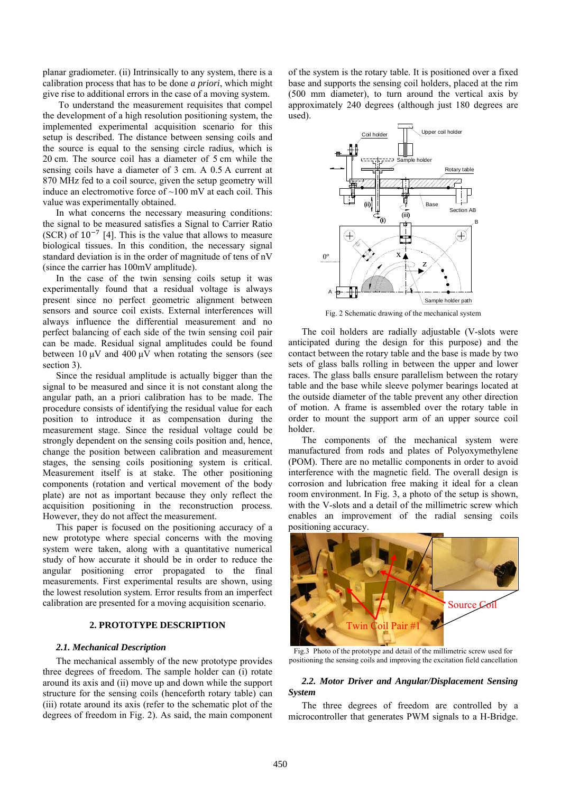planar gradiometer. (ii) Intrinsically to any system, there is a calibration process that has to be done *a priori*, which might give rise to additional errors in the case of a moving system.

 To understand the measurement requisites that compel the development of a high resolution positioning system, the implemented experimental acquisition scenario for this setup is described. The distance between sensing coils and the source is equal to the sensing circle radius, which is 20 cm. The source coil has a diameter of 5 cm while the sensing coils have a diameter of 3 cm. A 0.5 A current at 870 MHz fed to a coil source, given the setup geometry will induce an electromotive force of  $\sim$ 100 mV at each coil. This value was experimentally obtained.

In what concerns the necessary measuring conditions: the signal to be measured satisfies a Signal to Carrier Ratio (SCR) of  $10^{-7}$  [4]. This is the value that allows to measure biological tissues. In this condition, the necessary signal standard deviation is in the order of magnitude of tens of nV (since the carrier has 100mV amplitude).

In the case of the twin sensing coils setup it was experimentally found that a residual voltage is always present since no perfect geometric alignment between sensors and source coil exists. External interferences will always influence the differential measurement and no perfect balancing of each side of the twin sensing coil pair can be made. Residual signal amplitudes could be found between 10  $\mu$ V and 400  $\mu$ V when rotating the sensors (see section 3).

Since the residual amplitude is actually bigger than the signal to be measured and since it is not constant along the angular path, an a priori calibration has to be made. The procedure consists of identifying the residual value for each position to introduce it as compensation during the measurement stage. Since the residual voltage could be strongly dependent on the sensing coils position and, hence, change the position between calibration and measurement stages, the sensing coils positioning system is critical. Measurement itself is at stake. The other positioning components (rotation and vertical movement of the body plate) are not as important because they only reflect the acquisition positioning in the reconstruction process. However, they do not affect the measurement.

This paper is focused on the positioning accuracy of a new prototype where special concerns with the moving system were taken, along with a quantitative numerical study of how accurate it should be in order to reduce the angular positioning error propagated to the final measurements. First experimental results are shown, using the lowest resolution system. Error results from an imperfect calibration are presented for a moving acquisition scenario.

# **2. PROTOTYPE DESCRIPTION**

## *2.1. Mechanical Description*

The mechanical assembly of the new prototype provides three degrees of freedom. The sample holder can (i) rotate around its axis and (ii) move up and down while the support structure for the sensing coils (henceforth rotary table) can (iii) rotate around its axis (refer to the schematic plot of the degrees of freedom in Fig. 2). As said, the main component of the system is the rotary table. It is positioned over a fixed base and supports the sensing coil holders, placed at the rim (500 mm diameter), to turn around the vertical axis by approximately 240 degrees (although just 180 degrees are used).



The coil holders are radially adjustable (V-slots were

anticipated during the design for this purpose) and the contact between the rotary table and the base is made by two sets of glass balls rolling in between the upper and lower races. The glass balls ensure parallelism between the rotary table and the base while sleeve polymer bearings located at the outside diameter of the table prevent any other direction of motion. A frame is assembled over the rotary table in order to mount the support arm of an upper source coil holder.

The components of the mechanical system were manufactured from rods and plates of Polyoxymethylene (POM). There are no metallic components in order to avoid interference with the magnetic field. The overall design is corrosion and lubrication free making it ideal for a clean room environment. In Fig. 3, a photo of the setup is shown, with the V-slots and a detail of the millimetric screw which enables an improvement of the radial sensing coils positioning accuracy.



Fig.3 Photo of the prototype and detail of the millimetric screw used for positioning the sensing coils and improving the excitation field cancellation

## *2.2. Motor Driver and Angular/Displacement Sensing System*

The three degrees of freedom are controlled by a microcontroller that generates PWM signals to a H-Bridge.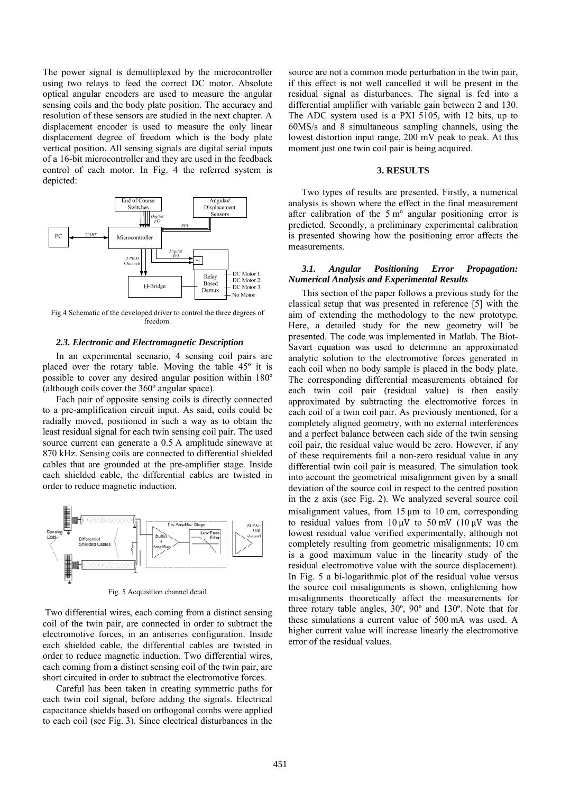The power signal is demultiplexed by the microcontroller using two relays to feed the correct DC motor. Absolute optical angular encoders are used to measure the angular sensing coils and the body plate position. The accuracy and resolution of these sensors are studied in the next chapter. A displacement encoder is used to measure the only linear displacement degree of freedom which is the body plate vertical position. All sensing signals are digital serial inputs of a 16-bit microcontroller and they are used in the feedback control of each motor. In Fig. 4 the referred system is depicted:



Fig.4 Schematic of the developed driver to control the three degrees of freedom.

#### *2.3. Electronic and Electromagnetic Description*

In an experimental scenario, 4 sensing coil pairs are placed over the rotary table. Moving the table 45º it is possible to cover any desired angular position within 180º (although coils cover the 360º angular space).

Each pair of opposite sensing coils is directly connected to a pre-amplification circuit input. As said, coils could be radially moved, positioned in such a way as to obtain the least residual signal for each twin sensing coil pair. The used source current can generate a 0.5 A amplitude sinewave at 870 kHz. Sensing coils are connected to differential shielded cables that are grounded at the pre-amplifier stage. Inside each shielded cable, the differential cables are twisted in order to reduce magnetic induction.



Fig. 5 Acquisition channel detail

 Two differential wires, each coming from a distinct sensing coil of the twin pair, are connected in order to subtract the electromotive forces, in an antiseries configuration. Inside each shielded cable, the differential cables are twisted in order to reduce magnetic induction. Two differential wires, each coming from a distinct sensing coil of the twin pair, are short circuited in order to subtract the electromotive forces.

Careful has been taken in creating symmetric paths for each twin coil signal, before adding the signals. Electrical capacitance shields based on orthogonal combs were applied to each coil (see Fig. 3). Since electrical disturbances in the

source are not a common mode perturbation in the twin pair, if this effect is not well cancelled it will be present in the residual signal as disturbances. The signal is fed into a differential amplifier with variable gain between 2 and 130. The ADC system used is a PXI 5105, with 12 bits, up to 60MS/s and 8 simultaneous sampling channels, using the lowest distortion input range, 200 mV peak to peak. At this moment just one twin coil pair is being acquired.

#### **3. RESULTS**

Two types of results are presented. Firstly, a numerical analysis is shown where the effect in the final measurement after calibration of the 5 mº angular positioning error is predicted. Secondly, a preliminary experimental calibration is presented showing how the positioning error affects the measurements.

## *3.1. Angular Positioning Error Propagation: Numerical Analysis and Experimental Results*

This section of the paper follows a previous study for the classical setup that was presented in reference [5] with the aim of extending the methodology to the new prototype. Here, a detailed study for the new geometry will be presented. The code was implemented in Matlab. The Biot-Savart equation was used to determine an approximated analytic solution to the electromotive forces generated in each coil when no body sample is placed in the body plate. The corresponding differential measurements obtained for each twin coil pair (residual value) is then easily approximated by subtracting the electromotive forces in each coil of a twin coil pair. As previously mentioned, for a completely aligned geometry, with no external interferences and a perfect balance between each side of the twin sensing coil pair, the residual value would be zero. However, if any of these requirements fail a non-zero residual value in any differential twin coil pair is measured. The simulation took into account the geometrical misalignment given by a small deviation of the source coil in respect to the centred position in the z axis (see Fig. 2). We analyzed several source coil misalignment values, from  $15 \mu m$  to  $10 \text{ cm}$ , corresponding to residual values from  $10 \mu V$  to  $50 \mu V$  ( $10 \mu V$  was the lowest residual value verified experimentally, although not completely resulting from geometric misalignments; 10 cm is a good maximum value in the linearity study of the residual electromotive value with the source displacement). In Fig. 5 a bi-logarithmic plot of the residual value versus the source coil misalignments is shown, enlightening how misalignments theoretically affect the measurements for three rotary table angles, 30º, 90º and 130º. Note that for these simulations a current value of 500 mA was used. A higher current value will increase linearly the electromotive error of the residual values.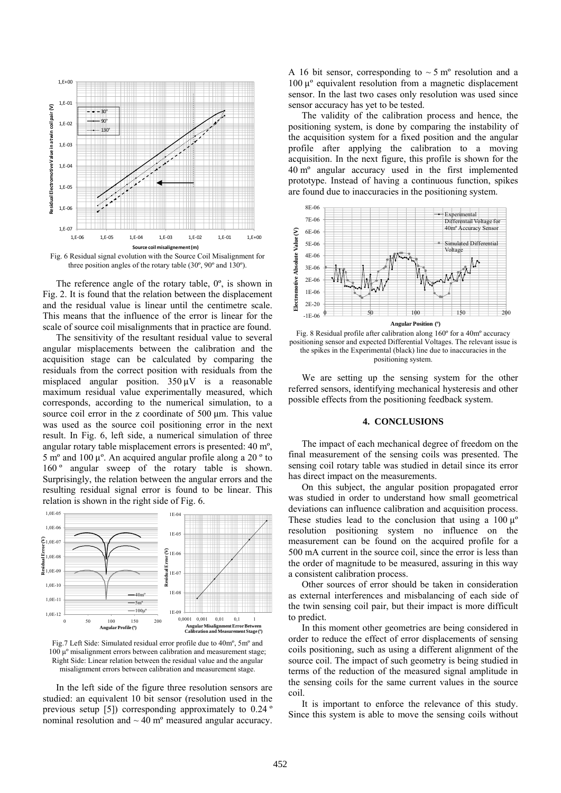

Fig. 6 Residual signal evolution with the Source Coil Misalignment for three position angles of the rotary table (30º, 90º and 130º).

The reference angle of the rotary table, 0º, is shown in Fig. 2. It is found that the relation between the displacement and the residual value is linear until the centimetre scale. This means that the influence of the error is linear for the scale of source coil misalignments that in practice are found.

The sensitivity of the resultant residual value to several angular misplacements between the calibration and the acquisition stage can be calculated by comparing the residuals from the correct position with residuals from the misplaced angular position.  $350 \mu V$  is a reasonable maximum residual value experimentally measured, which corresponds, according to the numerical simulation, to a source coil error in the z coordinate of 500  $\mu$ m. This value was used as the source coil positioning error in the next result. In Fig. 6, left side, a numerical simulation of three angular rotary table misplacement errors is presented: 40 mº, 5 m<sup>o</sup> and 100  $\mu$ <sup>o</sup>. An acquired angular profile along a 20  $\degree$  to 160<sup>°</sup> angular sweep of the rotary table is shown. Surprisingly, the relation between the angular errors and the resulting residual signal error is found to be linear. This relation is shown in the right side of Fig. 6.



Fig.7 Left Side: Simulated residual error profile due to 40mº, 5mº and  $100 \mu$ <sup>o</sup> misalignment errors between calibration and measurement stage; Right Side: Linear relation between the residual value and the angular misalignment errors between calibration and measurement stage.

In the left side of the figure three resolution sensors are studied: an equivalent 10 bit sensor (resolution used in the previous setup [5]) corresponding approximately to 0.24 º nominal resolution and  $\sim$  40 m<sup>o</sup> measured angular accuracy.

A 16 bit sensor, corresponding to  $\sim$  5 m<sup>o</sup> resolution and a 100  $\mu$ <sup>o</sup> equivalent resolution from a magnetic displacement sensor. In the last two cases only resolution was used since sensor accuracy has yet to be tested.

The validity of the calibration process and hence, the positioning system, is done by comparing the instability of the acquisition system for a fixed position and the angular profile after applying the calibration to a moving acquisition. In the next figure, this profile is shown for the 40 mº angular accuracy used in the first implemented prototype. Instead of having a continuous function, spikes are found due to inaccuracies in the positioning system.



Fig. 8 Residual profile after calibration along 160º for a 40mº accuracy positioning sensor and expected Differential Voltages. The relevant issue is the spikes in the Experimental (black) line due to inaccuracies in the positioning system.

We are setting up the sensing system for the other referred sensors, identifying mechanical hysteresis and other possible effects from the positioning feedback system.

## **4. CONCLUSIONS**

The impact of each mechanical degree of freedom on the final measurement of the sensing coils was presented. The sensing coil rotary table was studied in detail since its error has direct impact on the measurements.

On this subject, the angular position propagated error was studied in order to understand how small geometrical deviations can influence calibration and acquisition process. These studies lead to the conclusion that using a  $100 \mu^{\circ}$ resolution positioning system no influence on the measurement can be found on the acquired profile for a 500 mA current in the source coil, since the error is less than the order of magnitude to be measured, assuring in this way a consistent calibration process.

Other sources of error should be taken in consideration as external interferences and misbalancing of each side of the twin sensing coil pair, but their impact is more difficult to predict.

In this moment other geometries are being considered in order to reduce the effect of error displacements of sensing coils positioning, such as using a different alignment of the source coil. The impact of such geometry is being studied in terms of the reduction of the measured signal amplitude in the sensing coils for the same current values in the source coil.

It is important to enforce the relevance of this study. Since this system is able to move the sensing coils without